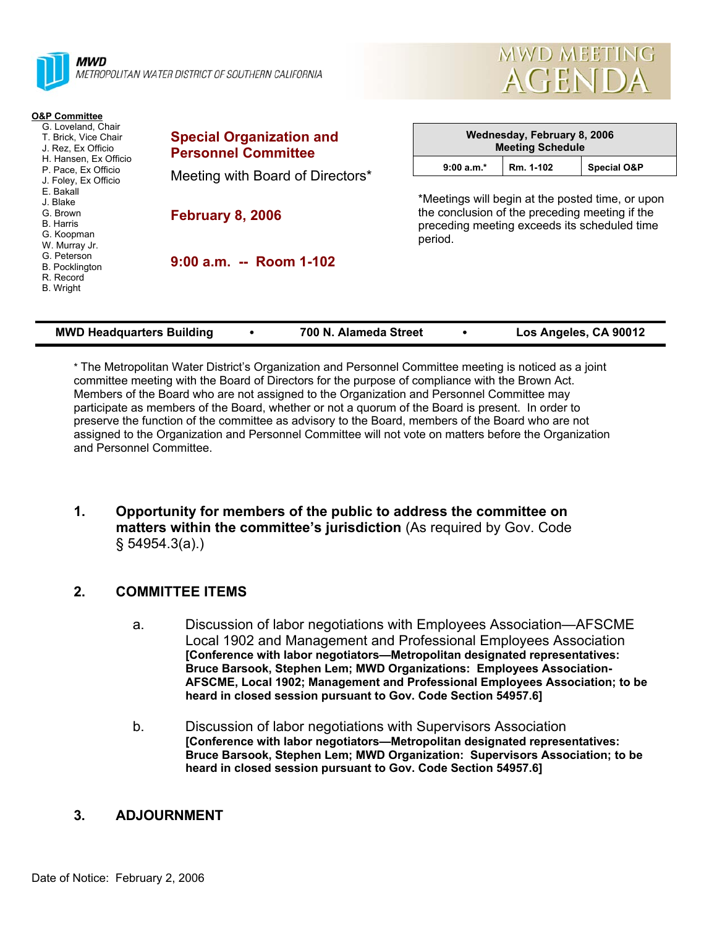| MWD<br>METROPOLITAN WATER DISTRICT OF SOUTHERN CALIFORNIA                                                                                                                                                                                                                                                                      | $\sim$<br><b>AGENDA</b>                                       |                                                                                                                                                               |                                                        |                        |  |  |
|--------------------------------------------------------------------------------------------------------------------------------------------------------------------------------------------------------------------------------------------------------------------------------------------------------------------------------|---------------------------------------------------------------|---------------------------------------------------------------------------------------------------------------------------------------------------------------|--------------------------------------------------------|------------------------|--|--|
| <b>O&amp;P Committee</b><br>G. Loveland, Chair<br>T. Brick, Vice Chair<br>J. Rez. Ex Officio<br>H. Hansen, Ex Officio<br>P. Pace, Ex Officio<br>J. Foley, Ex Officio<br>E. Bakall<br>J. Blake<br>G. Brown<br><b>B.</b> Harris<br>G. Koopman<br>W. Murray Jr.<br>G. Peterson<br><b>B.</b> Pocklington<br>R. Record<br>B. Wright | <b>Special Organization and</b><br><b>Personnel Committee</b> |                                                                                                                                                               | Wednesday, February 8, 2006<br><b>Meeting Schedule</b> |                        |  |  |
|                                                                                                                                                                                                                                                                                                                                | Meeting with Board of Directors*                              | $9:00 a.m.*$                                                                                                                                                  | Rm. 1-102                                              | <b>Special O&amp;P</b> |  |  |
|                                                                                                                                                                                                                                                                                                                                | <b>February 8, 2006</b>                                       | *Meetings will begin at the posted time, or upon<br>the conclusion of the preceding meeting if the<br>preceding meeting exceeds its scheduled time<br>period. |                                                        |                        |  |  |
|                                                                                                                                                                                                                                                                                                                                | 9:00 a.m. -- Room 1-102                                       |                                                                                                                                                               |                                                        |                        |  |  |

MWD MEETING

| <b>MWD Headquarters Building</b> |  | 700 N. Alameda Street |  | Los Angeles, CA 90012 |
|----------------------------------|--|-----------------------|--|-----------------------|
|----------------------------------|--|-----------------------|--|-----------------------|

\* The Metropolitan Water District's Organization and Personnel Committee meeting is noticed as a joint committee meeting with the Board of Directors for the purpose of compliance with the Brown Act. Members of the Board who are not assigned to the Organization and Personnel Committee may participate as members of the Board, whether or not a quorum of the Board is present. In order to preserve the function of the committee as advisory to the Board, members of the Board who are not assigned to the Organization and Personnel Committee will not vote on matters before the Organization and Personnel Committee.

**1. Opportunity for members of the public to address the committee on matters within the committee's jurisdiction** (As required by Gov. Code § 54954.3(a).)

## **2. COMMITTEE ITEMS**

- a. Discussion of labor negotiations with Employees Association—AFSCME Local 1902 and Management and Professional Employees Association **[Conference with labor negotiators—Metropolitan designated representatives: Bruce Barsook, Stephen Lem; MWD Organizations: Employees Association-AFSCME, Local 1902; Management and Professional Employees Association; to be heard in closed session pursuant to Gov. Code Section 54957.6]**
- b. Discussion of labor negotiations with Supervisors Association **[Conference with labor negotiators—Metropolitan designated representatives: Bruce Barsook, Stephen Lem; MWD Organization: Supervisors Association; to be heard in closed session pursuant to Gov. Code Section 54957.6]**

## **3. ADJOURNMENT**